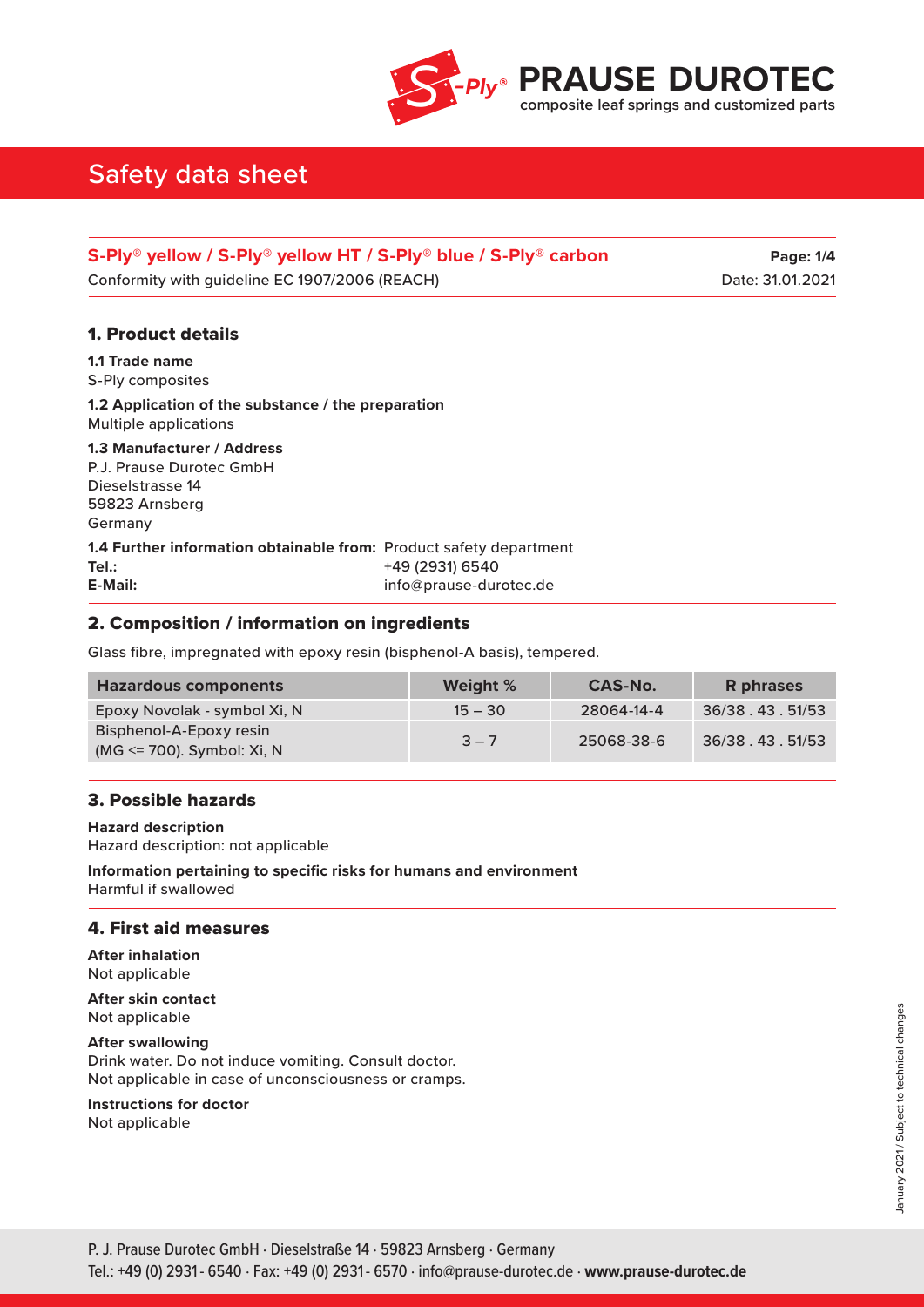

| S-Ply <sup>®</sup> yellow / S-Ply <sup>®</sup> yellow HT / S-Ply <sup>®</sup> blue / S-Ply <sup>®</sup> carbon | <b>Page: 1/4</b> |
|----------------------------------------------------------------------------------------------------------------|------------------|
| Conformity with guideline EC 1907/2006 (REACH)                                                                 | Date: 31.01.2021 |

## 1. Product details

**1.1 Trade name** S-Ply composites

**1.2 Application of the substance / the preparation** Multiple applications

**1.3 Manufacturer / Address** P.J. Prause Durotec GmbH Dieselstrasse 14 59823 Arnsberg Germany

**1.4 Further information obtainable from:** Product safety department **Tel.:** +49 (2931) 6540 **E-Mail:** info@prause-durotec.de

## 2. Composition / information on ingredients

Glass fibre, impregnated with epoxy resin (bisphenol-A basis), tempered.

| <b>Hazardous components</b>                              | <b>Weight %</b> | CAS-No.    | R phrases          |
|----------------------------------------------------------|-----------------|------------|--------------------|
| Epoxy Novolak - symbol Xi, N                             | $15 - 30$       | 28064-14-4 | 36/38 . 43 . 51/53 |
| Bisphenol-A-Epoxy resin<br>(MG $\le$ 700). Symbol: Xi, N | $3 - 7$         | 25068-38-6 | 36/38 . 43 . 51/53 |

### 3. Possible hazards

**Hazard description** Hazard description: not applicable

**Information pertaining to specific risks for humans and environment** Harmful if swallowed

### 4. First aid measures

**After inhalation** Not applicable

**After skin contact** Not applicable

**After swallowing** Drink water. Do not induce vomiting. Consult doctor. Not applicable in case of unconsciousness or cramps.

**Instructions for doctor**

Not applicable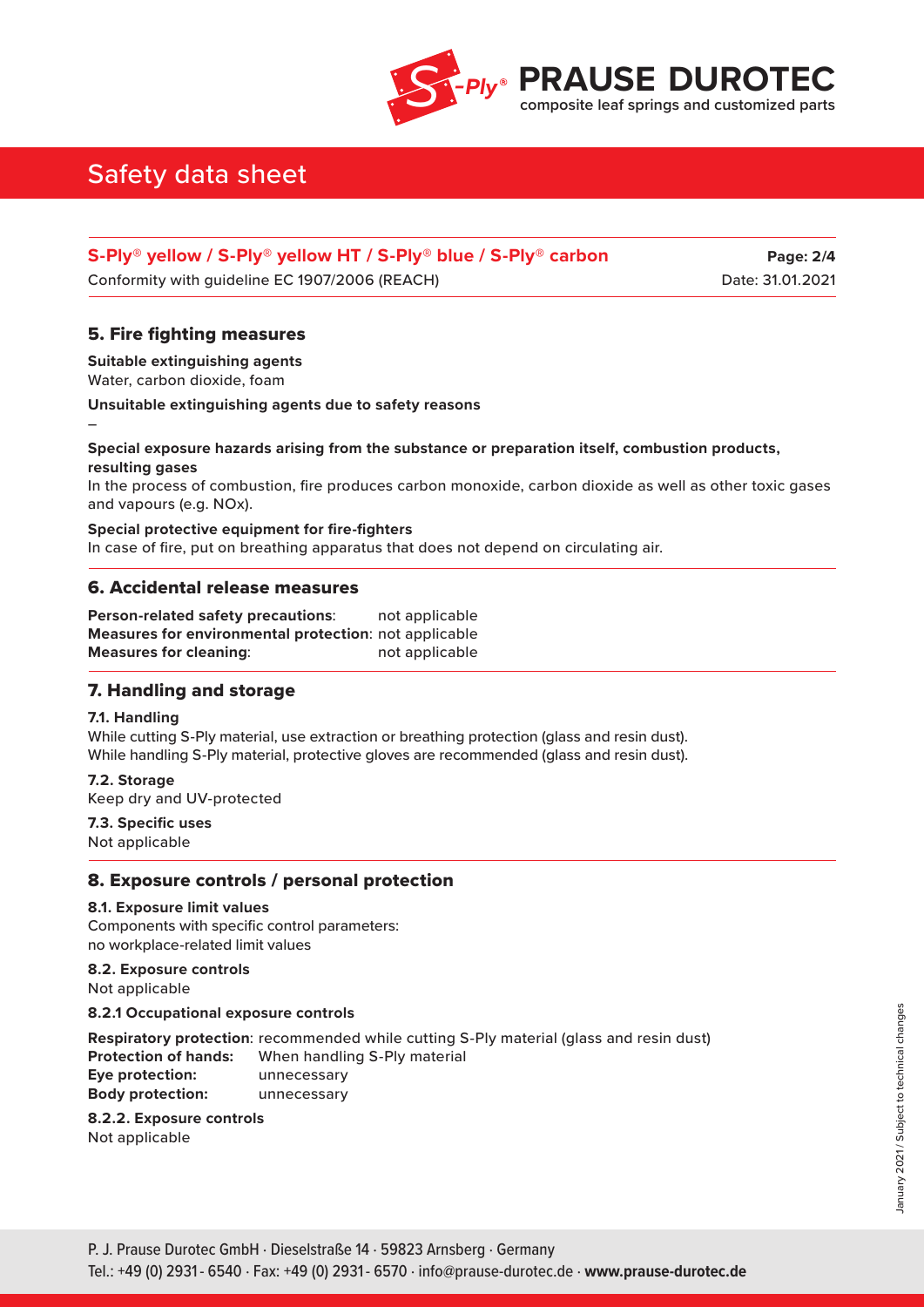

| S-Ply <sup>®</sup> yellow / S-Ply <sup>®</sup> yellow HT / S-Ply <sup>®</sup> blue / S-Ply <sup>®</sup> carbon | <b>Page: 2/4</b> |
|----------------------------------------------------------------------------------------------------------------|------------------|
| Conformity with guideline EC 1907/2006 (REACH)                                                                 | Date: 31.01.2021 |

## 5. Fire fighting measures

**Suitable extinguishing agents** Water, carbon dioxide, foam

**Unsuitable extinguishing agents due to safety reasons**

## **Special exposure hazards arising from the substance or preparation itself, combustion products, resulting gases**

In the process of combustion, fire produces carbon monoxide, carbon dioxide as well as other toxic gases and vapours (e.g. NOx).

**Special protective equipment for fire-fighters** In case of fire, put on breathing apparatus that does not depend on circulating air.

## 6. Accidental release measures

**Person-related safety precautions**: not applicable **Measures for environmental protection**: not applicable **Measures for cleaning:** not applicable

## 7. Handling and storage

### **7.1. Handling**

–

While cutting S-Ply material, use extraction or breathing protection (glass and resin dust). While handling S-Ply material, protective gloves are recommended (glass and resin dust).

**7.2. Storage** Keep dry and UV-protected

**7.3. Specific uses** Not applicable

## 8. Exposure controls / personal protection

#### **8.1. Exposure limit values**

Components with specific control parameters: no workplace-related limit values

### **8.2. Exposure controls**

Not applicable

**8.2.1 Occupational exposure controls**

**Respiratory protection**: recommended while cutting S-Ply material (glass and resin dust) **Protection of hands:** When handling S-Ply material **Eye protection:** unnecessary **Body protection:** unnecessary

### **8.2.2. Exposure controls**

Not applicable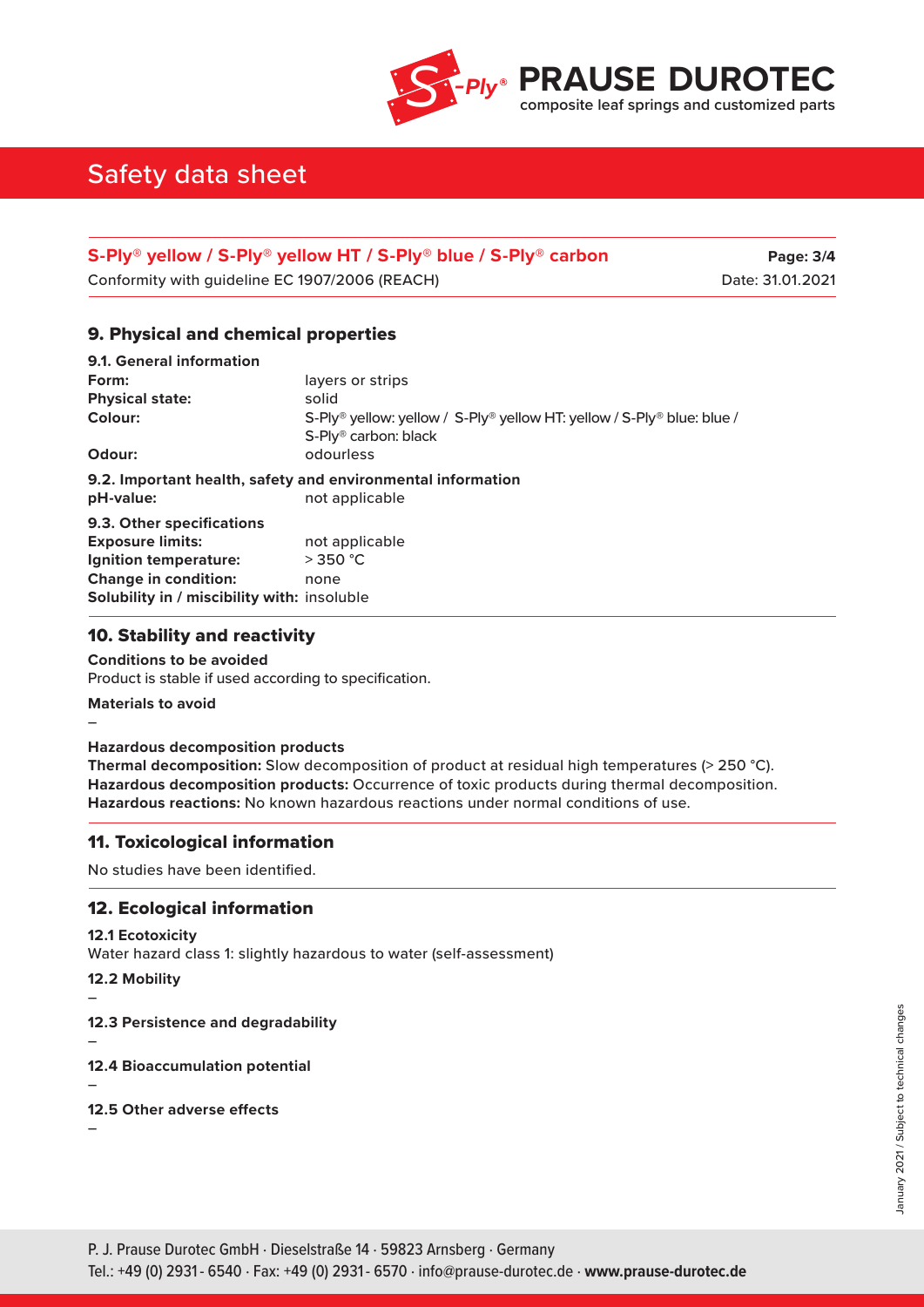

| S-Ply <sup>®</sup> yellow / S-Ply <sup>®</sup> yellow HT / S-Ply <sup>®</sup> blue / S-Ply <sup>®</sup> carbon | Page: 3/4        |
|----------------------------------------------------------------------------------------------------------------|------------------|
| Conformity with guideline EC 1907/2006 (REACH)                                                                 | Date: 31.01.2021 |

## 9. Physical and chemical properties

| 9.1. General information                                    |                                                                                    |  |  |
|-------------------------------------------------------------|------------------------------------------------------------------------------------|--|--|
| Form:                                                       | layers or strips                                                                   |  |  |
| <b>Physical state:</b>                                      | solid                                                                              |  |  |
| Colour:                                                     | S-Ply <sup>®</sup> yellow: yellow / S-Ply® yellow HT: yellow / S-Ply® blue: blue / |  |  |
|                                                             | S-Ply <sup>®</sup> carbon: black                                                   |  |  |
| Odour:                                                      | odourless                                                                          |  |  |
| 9.2. Important health, safety and environmental information |                                                                                    |  |  |
| pH-value:                                                   | not applicable                                                                     |  |  |
| <b>9.3. Other specifications</b>                            |                                                                                    |  |  |
| <b>Exposure limits:</b>                                     | not applicable                                                                     |  |  |
| Ignition temperature:                                       | $>$ 350 °C                                                                         |  |  |
| <b>Change in condition:</b>                                 | none                                                                               |  |  |
| Solubility in / miscibility with: insoluble                 |                                                                                    |  |  |

## 10. Stability and reactivity

#### **Conditions to be avoided**

Product is stable if used according to specification.

**Materials to avoid**

–

### **Hazardous decomposition products**

**Thermal decomposition:** Slow decomposition of product at residual high temperatures (> 250 °C). **Hazardous decomposition products:** Occurrence of toxic products during thermal decomposition. **Hazardous reactions:** No known hazardous reactions under normal conditions of use.

## 11. Toxicological information

No studies have been identified.

## 12. Ecological information

### **12.1 Ecotoxicity**

Water hazard class 1: slightly hazardous to water (self-assessment)

**12.2 Mobility**

**12.3 Persistence and degradability**

–

–

–

**12.4 Bioaccumulation potential**

### **12.5 Other adverse effects**

–